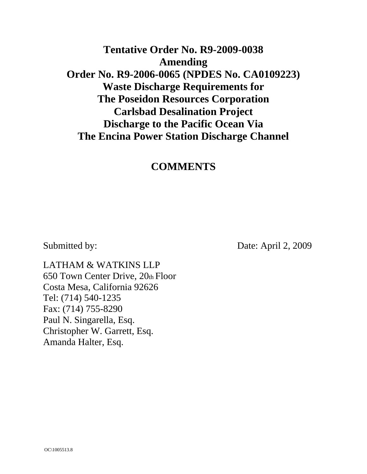# **Tentative Order No. R9-2009-0038 Amending Order No. R9-2006-0065 (NPDES No. CA0109223) Waste Discharge Requirements for The Poseidon Resources Corporation Carlsbad Desalination Project Discharge to the Pacific Ocean Via The Encina Power Station Discharge Channel**

## **COMMENTS**

Submitted by: Date: April 2, 2009

LATHAM & WATKINS LLP 650 Town Center Drive, 20th Floor Costa Mesa, California 92626 Tel: (714) 540-1235 Fax: (714) 755-8290 Paul N. Singarella, Esq. Christopher W. Garrett, Esq. Amanda Halter, Esq.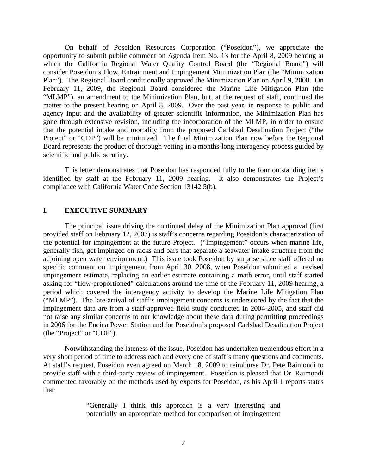On behalf of Poseidon Resources Corporation ("Poseidon"), we appreciate the opportunity to submit public comment on Agenda Item No. 13 for the April 8, 2009 hearing at which the California Regional Water Quality Control Board (the "Regional Board") will consider Poseidon's Flow, Entrainment and Impingement Minimization Plan (the "Minimization Plan"). The Regional Board conditionally approved the Minimization Plan on April 9, 2008. On February 11, 2009, the Regional Board considered the Marine Life Mitigation Plan (the "MLMP"), an amendment to the Minimization Plan, but, at the request of staff, continued the matter to the present hearing on April 8, 2009. Over the past year, in response to public and agency input and the availability of greater scientific information, the Minimization Plan has gone through extensive revision, including the incorporation of the MLMP, in order to ensure that the potential intake and mortality from the proposed Carlsbad Desalination Project ("the Project" or "CDP") will be minimized. The final Minimization Plan now before the Regional Board represents the product of thorough vetting in a months-long interagency process guided by scientific and public scrutiny.

This letter demonstrates that Poseidon has responded fully to the four outstanding items identified by staff at the February 11, 2009 hearing. It also demonstrates the Project's compliance with California Water Code Section 13142.5(b).

#### **I. EXECUTIVE SUMMARY**

The principal issue driving the continued delay of the Minimization Plan approval (first provided staff on February 12, 2007) is staff's concerns regarding Poseidon's characterization of the potential for impingement at the future Project. ("Impingement" occurs when marine life, generally fish, get impinged on racks and bars that separate a seawater intake structure from the adjoining open water environment.) This issue took Poseidon by surprise since staff offered no specific comment on impingement from April 30, 2008, when Poseidon submitted a revised impingement estimate, replacing an earlier estimate containing a math error, until staff started asking for "flow-proportioned" calculations around the time of the February 11, 2009 hearing, a period which covered the interagency activity to develop the Marine Life Mitigation Plan ("MLMP"). The late-arrival of staff's impingement concerns is underscored by the fact that the impingement data are from a staff-approved field study conducted in 2004-2005, and staff did not raise any similar concerns to our knowledge about these data during permitting proceedings in 2006 for the Encina Power Station and for Poseidon's proposed Carlsbad Desalination Project (the "Project" or "CDP").

Notwithstanding the lateness of the issue, Poseidon has undertaken tremendous effort in a very short period of time to address each and every one of staff's many questions and comments. At staff's request, Poseidon even agreed on March 18, 2009 to reimburse Dr. Pete Raimondi to provide staff with a third-party review of impingement. Poseidon is pleased that Dr. Raimondi commented favorably on the methods used by experts for Poseidon, as his April 1 reports states that:

> "Generally I think this approach is a very interesting and potentially an appropriate method for comparison of impingement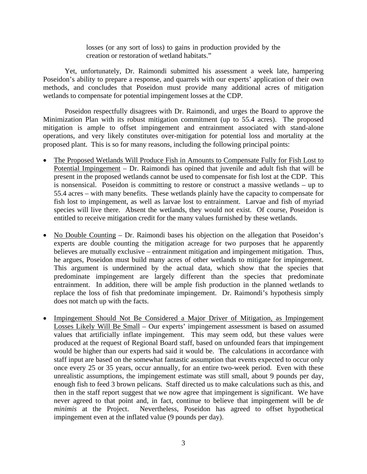losses (or any sort of loss) to gains in production provided by the creation or restoration of wetland habitats."

Yet, unfortunately, Dr. Raimondi submitted his assessment a week late, hampering Poseidon's ability to prepare a response, and quarrels with our experts' application of their own methods, and concludes that Poseidon must provide many additional acres of mitigation wetlands to compensate for potential impingement losses at the CDP.

Poseidon respectfully disagrees with Dr. Raimondi, and urges the Board to approve the Minimization Plan with its robust mitigation commitment (up to 55.4 acres). The proposed mitigation is ample to offset impingement and entrainment associated with stand-alone operations, and very likely constitutes over-mitigation for potential loss and mortality at the proposed plant. This is so for many reasons, including the following principal points:

- The Proposed Wetlands Will Produce Fish in Amounts to Compensate Fully for Fish Lost to Potential Impingement – Dr. Raimondi has opined that juvenile and adult fish that will be present in the proposed wetlands cannot be used to compensate for fish lost at the CDP. This is nonsensical. Poseidon is committing to restore or construct a massive wetlands – up to 55.4 acres – with many benefits. These wetlands plainly have the capacity to compensate for fish lost to impingement, as well as larvae lost to entrainment. Larvae and fish of myriad species will live there. Absent the wetlands, they would not exist. Of course, Poseidon is entitled to receive mitigation credit for the many values furnished by these wetlands.
- No Double Counting Dr. Raimondi bases his objection on the allegation that Poseidon's experts are double counting the mitigation acreage for two purposes that he apparently believes are mutually exclusive – entrainment mitigation and impingement mitigation. Thus, he argues, Poseidon must build many acres of other wetlands to mitigate for impingement. This argument is undermined by the actual data, which show that the species that predominate impingement are largely different than the species that predominate entrainment. In addition, there will be ample fish production in the planned wetlands to replace the loss of fish that predominate impingement. Dr. Raimondi's hypothesis simply does not match up with the facts.
- Impingement Should Not Be Considered a Major Driver of Mitigation, as Impingement Losses Likely Will Be Small – Our experts' impingement assessment is based on assumed values that artificially inflate impingement. This may seem odd, but these values were produced at the request of Regional Board staff, based on unfounded fears that impingement would be higher than our experts had said it would be. The calculations in accordance with staff input are based on the somewhat fantastic assumption that events expected to occur only once every 25 or 35 years, occur annually, for an entire two-week period. Even with these unrealistic assumptions, the impingement estimate was still small, about 9 pounds per day, enough fish to feed 3 brown pelicans. Staff directed us to make calculations such as this, and then in the staff report suggest that we now agree that impingement is significant. We have never agreed to that point and, in fact, continue to believe that impingement will be *de minimis* at the Project. Nevertheless, Poseidon has agreed to offset hypothetical impingement even at the inflated value (9 pounds per day).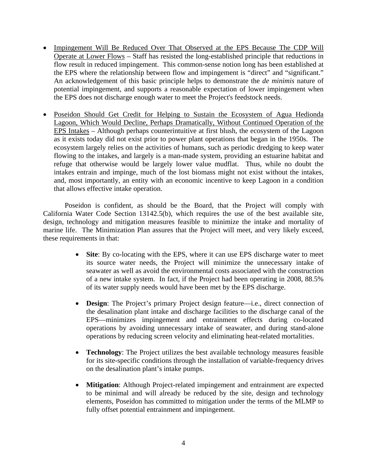- Impingement Will Be Reduced Over That Observed at the EPS Because The CDP Will Operate at Lower Flows – Staff has resisted the long-established principle that reductions in flow result in reduced impingement. This common-sense notion long has been established at the EPS where the relationship between flow and impingement is "direct" and "significant." An acknowledgement of this basic principle helps to demonstrate the *de minimis* nature of potential impingement, and supports a reasonable expectation of lower impingement when the EPS does not discharge enough water to meet the Project's feedstock needs.
- Poseidon Should Get Credit for Helping to Sustain the Ecosystem of Agua Hedionda Lagoon, Which Would Decline, Perhaps Dramatically, Without Continued Operation of the EPS Intakes – Although perhaps counterintuitive at first blush, the ecosystem of the Lagoon as it exists today did not exist prior to power plant operations that began in the 1950s. The ecosystem largely relies on the activities of humans, such as periodic dredging to keep water flowing to the intakes, and largely is a man-made system, providing an estuarine habitat and refuge that otherwise would be largely lower value mudflat. Thus, while no doubt the intakes entrain and impinge, much of the lost biomass might not exist without the intakes, and, most importantly, an entity with an economic incentive to keep Lagoon in a condition that allows effective intake operation.

Poseidon is confident, as should be the Board, that the Project will comply with California Water Code Section 13142.5(b), which requires the use of the best available site, design, technology and mitigation measures feasible to minimize the intake and mortality of marine life. The Minimization Plan assures that the Project will meet, and very likely exceed, these requirements in that:

- **Site**: By co-locating with the EPS, where it can use EPS discharge water to meet its source water needs, the Project will minimize the unnecessary intake of seawater as well as avoid the environmental costs associated with the construction of a new intake system. In fact, if the Project had been operating in 2008, 88.5% of its water supply needs would have been met by the EPS discharge.
- **Design:** The Project's primary Project design feature—i.e., direct connection of the desalination plant intake and discharge facilities to the discharge canal of the EPS—minimizes impingement and entrainment effects during co-located operations by avoiding unnecessary intake of seawater, and during stand-alone operations by reducing screen velocity and eliminating heat-related mortalities.
- **Technology**: The Project utilizes the best available technology measures feasible for its site-specific conditions through the installation of variable-frequency drives on the desalination plant's intake pumps.
- **Mitigation**: Although Project-related impingement and entrainment are expected to be minimal and will already be reduced by the site, design and technology elements, Poseidon has committed to mitigation under the terms of the MLMP to fully offset potential entrainment and impingement.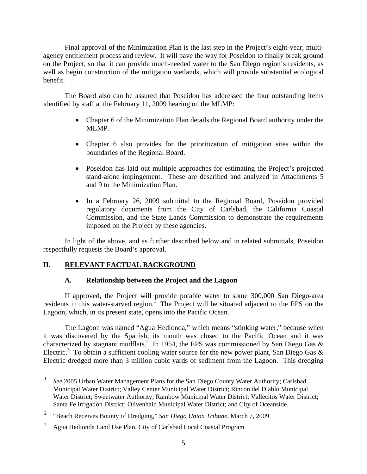Final approval of the Minimization Plan is the last step in the Project's eight-year, multiagency entitlement process and review. It will pave the way for Poseidon to finally break ground on the Project, so that it can provide much-needed water to the San Diego region's residents, as well as begin construction of the mitigation wetlands, which will provide substantial ecological benefit.

 The Board also can be assured that Poseidon has addressed the four outstanding items identified by staff at the February 11, 2009 hearing on the MLMP:

- Chapter 6 of the Minimization Plan details the Regional Board authority under the MLMP.
- Chapter 6 also provides for the prioritization of mitigation sites within the boundaries of the Regional Board.
- Poseidon has laid out multiple approaches for estimating the Project's projected stand-alone impingement. These are described and analyzed in Attachments 5 and 9 to the Minimization Plan.
- In a February 26, 2009 submittal to the Regional Board, Poseidon provided regulatory documents from the City of Carlsbad, the California Coastal Commission, and the State Lands Commission to demonstrate the requirements imposed on the Project by these agencies.

 In light of the above, and as further described below and in related submittals, Poseidon respectfully requests the Board's approval.

## **II. RELEVANT FACTUAL BACKGROUND**

1

## **A. Relationship between the Project and the Lagoon**

If approved, the Project will provide potable water to some 300,000 San Diego-area residents in this water-starved region.<sup> $f$ </sup> The Project will be situated adjacent to the EPS on the Lagoon, which, in its present state, opens into the Pacific Ocean.

The Lagoon was named "Agua Hedionda," which means "stinking water," because when it was discovered by the Spanish, its mouth was closed to the Pacific Ocean and it was characterized by stagnant mudflats.<sup>2</sup> In 1954, the EPS was commissioned by San Diego Gas & Electric.<sup>3</sup> To obtain a sufficient cooling water source for the new power plant, San Diego Gas & Electric dredged more than 3 million cubic yards of sediment from the Lagoon. This dredging

<sup>1</sup> *See* 2005 Urban Water Management Plans for the San Diego County Water Authority; Carlsbad Municipal Water District; Valley Center Municipal Water District; Rincon del Diablo Municipal Water District; Sweetwater Authority; Rainbow Municipal Water District; Vallecitos Water District; Santa Fe Irrigation District; Olivenhain Municipal Water District; and City of Oceanside.

<sup>2</sup> "Beach Receives Bounty of Dredging," *San Diego Union Tribune*, March 7, 2009

<sup>3</sup> Agua Hedionda Land Use Plan, City of Carlsbad Local Coastal Program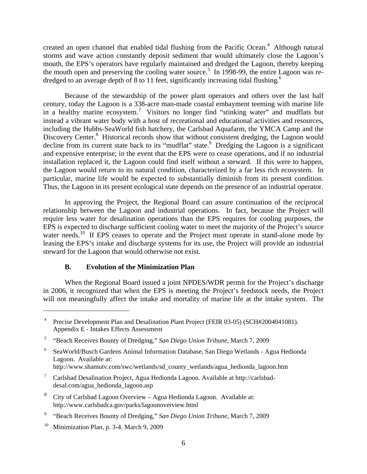created an open channel that enabled tidal flushing from the Pacific Ocean.<sup>4</sup> Although natural storms and wave action constantly deposit sediment that would ultimately close the Lagoon's mouth, the EPS's operators have regularly maintained and dredged the Lagoon, thereby keeping the mouth open and preserving the cooling water source.<sup>5</sup> In 1998-99, the entire Lagoon was redredged to an average depth of 8 to 11 feet, significantly increasing tidal flushing.<sup>6</sup>

Because of the stewardship of the power plant operators and others over the last half century, today the Lagoon is a 338-acre man-made coastal embayment teeming with marine life in a healthy marine ecosystem.<sup>7</sup> Visitors no longer find "stinking water" and mudflats but instead a vibrant water body with a host of recreational and educational activities and resources, including the Hubbs-SeaWorld fish hatchery, the Carlsbad Aquafarm, the YMCA Camp and the Discovery Center.<sup>8</sup> Historical records show that without consistent dredging, the Lagoon would decline from its current state back to its "mudflat" state.<sup>9</sup> Dredging the Lagoon is a significant and expensive enterprise; in the event that the EPS were to cease operations, and if no industrial installation replaced it, the Lagoon could find itself without a steward. If this were to happen, the Lagoon would return to its natural condition, characterized by a far less rich ecosystem. In particular, marine life would be expected to substantially diminish from its present condition. Thus, the Lagoon in its present ecological state depends on the presence of an industrial operator.

In approving the Project, the Regional Board can assure continuation of the reciprocal relationship between the Lagoon and industrial operations. In fact, because the Project will require less water for desalination operations than the EPS requires for cooling purposes, the EPS is expected to discharge sufficient cooling water to meet the majority of the Project's source water needs.<sup>10</sup> If EPS ceases to operate and the Project must operate in stand-alone mode by leasing the EPS's intake and discharge systems for its use, the Project will provide an industrial steward for the Lagoon that would otherwise not exist.

#### **B. Evolution of the Minimization Plan**

When the Regional Board issued a joint NPDES/WDR permit for the Project's discharge in 2006, it recognized that when the EPS is meeting the Project's feedstock needs, the Project will not meaningfully affect the intake and mortality of marine life at the intake system. The

- 7 Carlsbad Desalination Project, Agua Hedionda Lagoon. Available at http://carlsbaddesal.com/agua\_hedionda\_lagoon.asp
- <sup>8</sup> City of Carlsbad Lagoon Overview Agua Hedionda Lagoon. Available at: http://www.carlsbadca.gov/parks/lagoonoverview.html
- 9 "Beach Receives Bounty of Dredging," *San Diego Union Tribune*, March 7, 2009
- <sup>10</sup> Minimization Plan, p. 3-4. March 9, 2009

<sup>4</sup> Precise Development Plan and Desalination Plant Project (FEIR 03-05) (SCH#2004041081). Appendix E - Intakes Effects Assessment

<sup>5</sup> "Beach Receives Bounty of Dredging," *San Diego Union Tribune*, March 7, 2009

<sup>6</sup> SeaWorld/Busch Gardens Animal Information Database, San Diego Wetlands - Agua Hedionda Lagoon. Available at: http://www.shamutv.com/swc/wetlands/sd\_county\_wetlands/agua\_hedionda\_lagoon.htm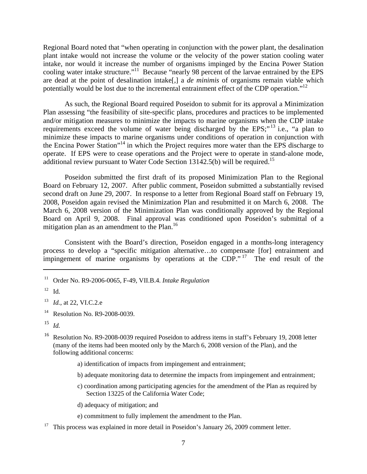Regional Board noted that "when operating in conjunction with the power plant, the desalination plant intake would not increase the volume or the velocity of the power station cooling water intake, nor would it increase the number of organisms impinged by the Encina Power Station cooling water intake structure."<sup>11</sup> Because "nearly 98 percent of the larvae entrained by the EPS are dead at the point of desalination intake[,] a *de minimis* of organisms remain viable which potentially would be lost due to the incremental entrainment effect of the CDP operation."<sup>12</sup>

As such, the Regional Board required Poseidon to submit for its approval a Minimization Plan assessing "the feasibility of site-specific plans, procedures and practices to be implemented and/or mitigation measures to minimize the impacts to marine organisms when the CDP intake requirements exceed the volume of water being discharged by the EPS;"<sup>13</sup> i.e., "a plan to minimize these impacts to marine organisms under conditions of operation in conjunction with the Encina Power Station"14 in which the Project requires more water than the EPS discharge to operate. If EPS were to cease operations and the Project were to operate in stand-alone mode, additional review pursuant to Water Code Section  $13142.5(b)$  will be required.<sup>15</sup>

Poseidon submitted the first draft of its proposed Minimization Plan to the Regional Board on February 12, 2007. After public comment, Poseidon submitted a substantially revised second draft on June 29, 2007. In response to a letter from Regional Board staff on February 19, 2008, Poseidon again revised the Minimization Plan and resubmitted it on March 6, 2008. The March 6, 2008 version of the Minimization Plan was conditionally approved by the Regional Board on April 9, 2008. Final approval was conditioned upon Poseidon's submittal of a mitigation plan as an amendment to the Plan.<sup>16</sup>

Consistent with the Board's direction, Poseidon engaged in a months-long interagency process to develop a "specific mitigation alternative…to compensate [for] entrainment and impingement of marine organisms by operations at the CDP."<sup>17</sup> The end result of the

 $\overline{a}$ 

14 Resolution No. R9-2008-0039.

- a) identification of impacts from impingement and entrainment;
- b) adequate monitoring data to determine the impacts from impingement and entrainment;
- c) coordination among participating agencies for the amendment of the Plan as required by Section 13225 of the California Water Code;
- d) adequacy of mitigation; and
- e) commitment to fully implement the amendment to the Plan.
- $17$  This process was explained in more detail in Poseidon's January 26, 2009 comment letter.

<sup>11</sup> Order No. R9-2006-0065, F-49, VII.B.4. *Intake Regulation* 

 $12$  Id.

<sup>13</sup> *Id.*, at 22, VI.C.2.e

<sup>15</sup> *Id.*

<sup>16</sup> Resolution No. R9-2008-0039 required Poseidon to address items in staff's February 19, 2008 letter (many of the items had been mooted only by the March 6, 2008 version of the Plan), and the following additional concerns: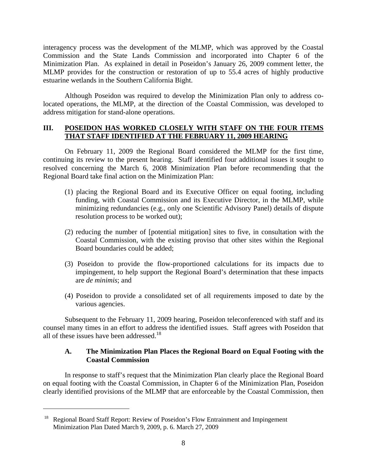interagency process was the development of the MLMP, which was approved by the Coastal Commission and the State Lands Commission and incorporated into Chapter 6 of the Minimization Plan. As explained in detail in Poseidon's January 26, 2009 comment letter, the MLMP provides for the construction or restoration of up to 55.4 acres of highly productive estuarine wetlands in the Southern California Bight.

Although Poseidon was required to develop the Minimization Plan only to address colocated operations, the MLMP, at the direction of the Coastal Commission, was developed to address mitigation for stand-alone operations.

#### **III. POSEIDON HAS WORKED CLOSELY WITH STAFF ON THE FOUR ITEMS THAT STAFF IDENTIFIED AT THE FEBRUARY 11, 2009 HEARING**

On February 11, 2009 the Regional Board considered the MLMP for the first time, continuing its review to the present hearing. Staff identified four additional issues it sought to resolved concerning the March 6, 2008 Minimization Plan before recommending that the Regional Board take final action on the Minimization Plan:

- (1) placing the Regional Board and its Executive Officer on equal footing, including funding, with Coastal Commission and its Executive Director, in the MLMP, while minimizing redundancies (e.g., only one Scientific Advisory Panel) details of dispute resolution process to be worked out);
- (2) reducing the number of [potential mitigation] sites to five, in consultation with the Coastal Commission, with the existing proviso that other sites within the Regional Board boundaries could be added;
- (3) Poseidon to provide the flow-proportioned calculations for its impacts due to impingement, to help support the Regional Board's determination that these impacts are *de minimis*; and
- (4) Poseidon to provide a consolidated set of all requirements imposed to date by the various agencies.

Subsequent to the February 11, 2009 hearing, Poseidon teleconferenced with staff and its counsel many times in an effort to address the identified issues. Staff agrees with Poseidon that all of these issues have been addressed. $18$ 

### **A. The Minimization Plan Places the Regional Board on Equal Footing with the Coastal Commission**

In response to staff's request that the Minimization Plan clearly place the Regional Board on equal footing with the Coastal Commission, in Chapter 6 of the Minimization Plan, Poseidon clearly identified provisions of the MLMP that are enforceable by the Coastal Commission, then

1

<sup>&</sup>lt;sup>18</sup> Regional Board Staff Report: Review of Poseidon's Flow Entrainment and Impingement Minimization Plan Dated March 9, 2009, p. 6. March 27, 2009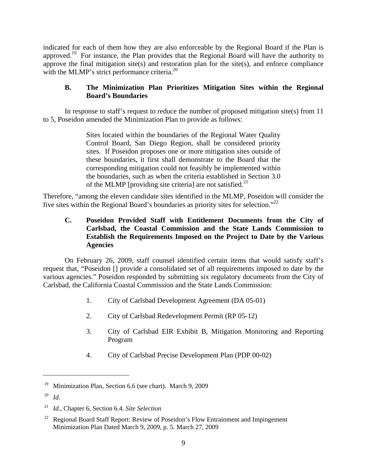indicated for each of them how they are also enforceable by the Regional Board if the Plan is approved.19 For instance, the Plan provides that the Regional Board will have the authority to approve the final mitigation site(s) and restoration plan for the site(s), and enforce compliance with the MLMP's strict performance criteria.<sup>20</sup>

## **B. The Minimization Plan Prioritizes Mitigation Sites within the Regional Board's Boundaries**

In response to staff's request to reduce the number of proposed mitigation site(s) from 11 to 5, Poseidon amended the Minimization Plan to provide as follows:

> Sites located within the boundaries of the Regional Water Quality Control Board, San Diego Region, shall be considered priority sites. If Poseidon proposes one or more mitigation sites outside of these boundaries, it first shall demonstrate to the Board that the corresponding mitigation could not feasibly be implemented within the boundaries, such as when the criteria established in Section 3.0 of the MLMP [providing site criteria] are not satisfied.<sup>21</sup>

Therefore, "among the eleven candidate sites identified in the MLMP, Poseidon will consider the five sites within the Regional Board's boundaries as priority sites for selection."22

## **C. Poseidon Provided Staff with Entitlement Documents from the City of Carlsbad, the Coastal Commission and the State Lands Commission to Establish the Requirements Imposed on the Project to Date by the Various Agencies**

On February 26, 2009, staff counsel identified certain items that would satisfy staff's request that, "Poseidon [] provide a consolidated set of all requirements imposed to date by the various agencies." Poseidon responded by submitting six regulatory documents from the City of Carlsbad, the California Coastal Commission and the State Lands Commission:

- 1. City of Carlsbad Development Agreement (DA 05-01)
- 2. City of Carlsbad Redevelopment Permit (RP 05-12)
- 3. City of Carlsbad EIR Exhibit B, Mitigation Monitoring and Reporting Program
- 4. City of Carlsbad Precise Development Plan (PDP 00-02)

<sup>&</sup>lt;sup>19</sup> Minimization Plan, Section 6.6 (see chart). March 9, 2009

<sup>20</sup> *Id.* 

<sup>21</sup> *Id.*, Chapter 6, Section 6.4. *Site Selection*

 $22$  Regional Board Staff Report: Review of Poseidon's Flow Entrainment and Impingement Minimization Plan Dated March 9, 2009, p. 5. March 27, 2009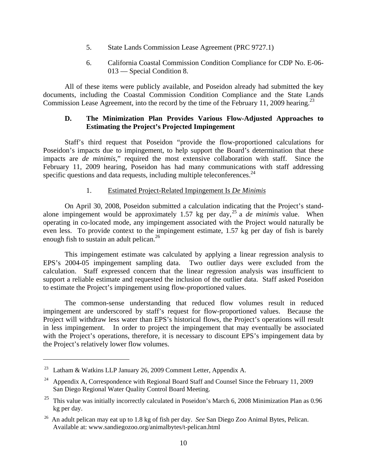- 5. State Lands Commission Lease Agreement (PRC 9727.1)
- 6. California Coastal Commission Condition Compliance for CDP No. E-06- 013 — Special Condition 8.

All of these items were publicly available, and Poseidon already had submitted the key documents, including the Coastal Commission Condition Compliance and the State Lands Commission Lease Agreement, into the record by the time of the February 11, 2009 hearing.<sup>23</sup>

## **D. The Minimization Plan Provides Various Flow-Adjusted Approaches to Estimating the Project's Projected Impingement**

Staff's third request that Poseidon "provide the flow-proportioned calculations for Poseidon's impacts due to impingement, to help support the Board's determination that these impacts are *de minimis*," required the most extensive collaboration with staff. Since the February 11, 2009 hearing, Poseidon has had many communications with staff addressing specific questions and data requests, including multiple teleconferences. $^{24}$ 

### 1. Estimated Project-Related Impingement Is *De Minimis*

On April 30, 2008, Poseidon submitted a calculation indicating that the Project's standalone impingement would be approximately 1.57 kg per day,25 a *de minimis* value. When operating in co-located mode, any impingement associated with the Project would naturally be even less. To provide context to the impingement estimate, 1.57 kg per day of fish is barely enough fish to sustain an adult pelican.<sup>26</sup>

This impingement estimate was calculated by applying a linear regression analysis to EPS's 2004-05 impingement sampling data. Two outlier days were excluded from the calculation. Staff expressed concern that the linear regression analysis was insufficient to support a reliable estimate and requested the inclusion of the outlier data. Staff asked Poseidon to estimate the Project's impingement using flow-proportioned values.

The common-sense understanding that reduced flow volumes result in reduced impingement are underscored by staff's request for flow-proportioned values. Because the Project will withdraw less water than EPS's historical flows, the Project's operations will result in less impingement. In order to project the impingement that may eventually be associated with the Project's operations, therefore, it is necessary to discount EPS's impingement data by the Project's relatively lower flow volumes.

<sup>23</sup> Latham & Watkins LLP January 26, 2009 Comment Letter, Appendix A.

<sup>&</sup>lt;sup>24</sup> Appendix A, Correspondence with Regional Board Staff and Counsel Since the February 11, 2009 San Diego Regional Water Quality Control Board Meeting.

<sup>&</sup>lt;sup>25</sup> This value was initially incorrectly calculated in Poseidon's March 6, 2008 Minimization Plan as 0.96 kg per day.

<sup>26</sup> An adult pelican may eat up to 1.8 kg of fish per day. *See* San Diego Zoo Animal Bytes, Pelican. Available at: www.sandiegozoo.org/animalbytes/t-pelican.html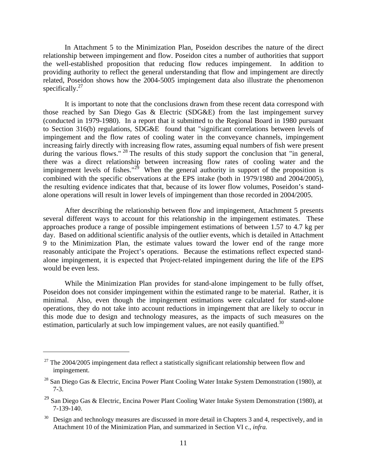In Attachment 5 to the Minimization Plan, Poseidon describes the nature of the direct relationship between impingement and flow. Poseidon cites a number of authorities that support the well-established proposition that reducing flow reduces impingement. In addition to providing authority to reflect the general understanding that flow and impingement are directly related, Poseidon shows how the 2004-5005 impingement data also illustrate the phenomenon specifically.<sup>27</sup>

It is important to note that the conclusions drawn from these recent data correspond with those reached by San Diego Gas & Electric (SDG&E) from the last impingement survey (conducted in 1979-1980). In a report that it submitted to the Regional Board in 1980 pursuant to Section 316(b) regulations, SDG&E found that "significant correlations between levels of impingement and the flow rates of cooling water in the conveyance channels, impingement increasing fairly directly with increasing flow rates, assuming equal numbers of fish were present during the various flows." <sup>28</sup> The results of this study support the conclusion that "in general, there was a direct relationship between increasing flow rates of cooling water and the impingement levels of fishes."<sup>29</sup> When the general authority in support of the proposition is combined with the specific observations at the EPS intake (both in 1979/1980 and 2004/2005), the resulting evidence indicates that that, because of its lower flow volumes, Poseidon's standalone operations will result in lower levels of impingement than those recorded in 2004/2005.

After describing the relationship between flow and impingement, Attachment 5 presents several different ways to account for this relationship in the impingement estimates. These approaches produce a range of possible impingement estimations of between 1.57 to 4.7 kg per day. Based on additional scientific analysis of the outlier events, which is detailed in Attachment 9 to the Minimization Plan, the estimate values toward the lower end of the range more reasonably anticipate the Project's operations. Because the estimations reflect expected standalone impingement, it is expected that Project-related impingement during the life of the EPS would be even less.

While the Minimization Plan provides for stand-alone impingement to be fully offset, Poseidon does not consider impingement within the estimated range to be material. Rather, it is minimal. Also, even though the impingement estimations were calculated for stand-alone operations, they do not take into account reductions in impingement that are likely to occur in this mode due to design and technology measures, as the impacts of such measures on the estimation, particularly at such low impingement values, are not easily quantified.<sup>30</sup>

1

 $27$  The 2004/2005 impingement data reflect a statistically significant relationship between flow and impingement.

<sup>&</sup>lt;sup>28</sup> San Diego Gas & Electric, Encina Power Plant Cooling Water Intake System Demonstration (1980), at 7-3.

<sup>29</sup> San Diego Gas & Electric, Encina Power Plant Cooling Water Intake System Demonstration (1980), at 7-139-140.

<sup>&</sup>lt;sup>30</sup> Design and technology measures are discussed in more detail in Chapters 3 and 4, respectively, and in Attachment 10 of the Minimization Plan, and summarized in Section VI c., *infra.*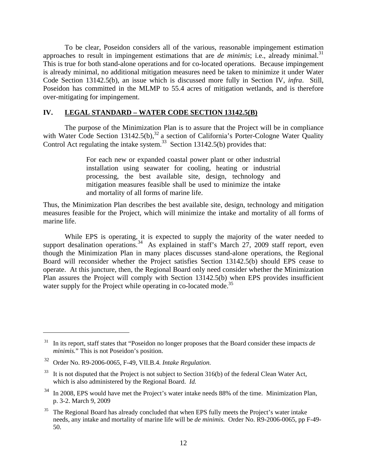To be clear, Poseidon considers all of the various, reasonable impingement estimation approaches to result in impingement estimations that are *de minimis*; i.e., already minimal.<sup>31</sup> This is true for both stand-alone operations and for co-located operations. Because impingement is already minimal, no additional mitigation measures need be taken to minimize it under Water Code Section 13142.5(b), an issue which is discussed more fully in Section IV, *infra*. Still, Poseidon has committed in the MLMP to 55.4 acres of mitigation wetlands, and is therefore over-mitigating for impingement.

#### **IV. LEGAL STANDARD – WATER CODE SECTION 13142.5(B)**

The purpose of the Minimization Plan is to assure that the Project will be in compliance with Water Code Section 13142.5(b),  $32$  a section of California's Porter-Cologne Water Quality Control Act regulating the intake system. $33$  Section 13142.5(b) provides that:

> For each new or expanded coastal power plant or other industrial installation using seawater for cooling, heating or industrial processing, the best available site, design, technology and mitigation measures feasible shall be used to minimize the intake and mortality of all forms of marine life.

Thus, the Minimization Plan describes the best available site, design, technology and mitigation measures feasible for the Project, which will minimize the intake and mortality of all forms of marine life.

 While EPS is operating, it is expected to supply the majority of the water needed to support desalination operations.<sup>34</sup> As explained in staff's March 27, 2009 staff report, even though the Minimization Plan in many places discusses stand-alone operations, the Regional Board will reconsider whether the Project satisfies Section 13142.5(b) should EPS cease to operate. At this juncture, then, the Regional Board only need consider whether the Minimization Plan assures the Project will comply with Section 13142.5(b) when EPS provides insufficient water supply for the Project while operating in co-located mode.<sup>35</sup>

<sup>31</sup> In its report, staff states that "Poseidon no longer proposes that the Board consider these impacts *de minimis.*" This is not Poseidon's position.

<sup>32</sup> Order No. R9-2006-0065, F-49, VII.B.4. *Intake Regulation.*

<sup>&</sup>lt;sup>33</sup> It is not disputed that the Project is not subject to Section 316(b) of the federal Clean Water Act, which is also administered by the Regional Board. *Id.*

<sup>&</sup>lt;sup>34</sup> In 2008, EPS would have met the Project's water intake needs 88% of the time. Minimization Plan, p. 3-2. March 9, 2009

 $35$  The Regional Board has already concluded that when EPS fully meets the Project's water intake needs, any intake and mortality of marine life will be *de minimis.* Order No. R9-2006-0065, pp F-49- 50.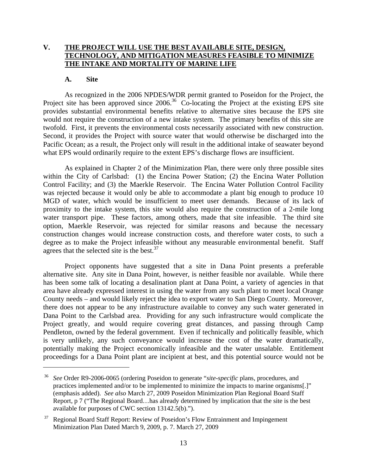## **V. THE PROJECT WILL USE THE BEST AVAILABLE SITE, DESIGN, TECHNOLOGY, AND MITIGATION MEASURES FEASIBLE TO MINIMIZE THE INTAKE AND MORTALITY OF MARINE LIFE**

#### **A. Site**

 $\overline{a}$ 

As recognized in the 2006 NPDES/WDR permit granted to Poseidon for the Project, the Project site has been approved since 2006.<sup>36</sup> Co-locating the Project at the existing EPS site provides substantial environmental benefits relative to alternative sites because the EPS site would not require the construction of a new intake system. The primary benefits of this site are twofold. First, it prevents the environmental costs necessarily associated with new construction. Second, it provides the Project with source water that would otherwise be discharged into the Pacific Ocean; as a result, the Project only will result in the additional intake of seawater beyond what EPS would ordinarily require to the extent EPS's discharge flows are insufficient.

As explained in Chapter 2 of the Minimization Plan, there were only three possible sites within the City of Carlsbad: (1) the Encina Power Station; (2) the Encina Water Pollution Control Facility; and (3) the Maerkle Reservoir. The Encina Water Pollution Control Facility was rejected because it would only be able to accommodate a plant big enough to produce 10 MGD of water, which would be insufficient to meet user demands. Because of its lack of proximity to the intake system, this site would also require the construction of a 2-mile long water transport pipe. These factors, among others, made that site infeasible. The third site option, Maerkle Reservoir, was rejected for similar reasons and because the necessary construction changes would increase construction costs, and therefore water costs, to such a degree as to make the Project infeasible without any measurable environmental benefit. Staff agrees that the selected site is the best. $37$ 

Project opponents have suggested that a site in Dana Point presents a preferable alternative site. Any site in Dana Point, however, is neither feasible nor available. While there has been some talk of locating a desalination plant at Dana Point, a variety of agencies in that area have already expressed interest in using the water from any such plant to meet local Orange County needs – and would likely reject the idea to export water to San Diego County. Moreover, there does not appear to be any infrastructure available to convey any such water generated in Dana Point to the Carlsbad area. Providing for any such infrastructure would complicate the Project greatly, and would require covering great distances, and passing through Camp Pendleton, owned by the federal government. Even if technically and politically feasible, which is very unlikely, any such conveyance would increase the cost of the water dramatically, potentially making the Project economically infeasible and the water unsalable. Entitlement proceedings for a Dana Point plant are incipient at best, and this potential source would not be

<sup>36</sup> *See* Order R9-2006-0065 (ordering Poseidon to generate "*site-specific* plans, procedures, and practices implemented and/or to be implemented to minimize the impacts to marine organisms[.]" (emphasis added). *See also* March 27, 2009 Poseidon Minimization Plan Regional Board Staff Report, p 7 ("The Regional Board…has already determined by implication that the site is the best available for purposes of CWC section 13142.5(b).").

 $37$  Regional Board Staff Report: Review of Poseidon's Flow Entrainment and Impingement Minimization Plan Dated March 9, 2009, p. 7. March 27, 2009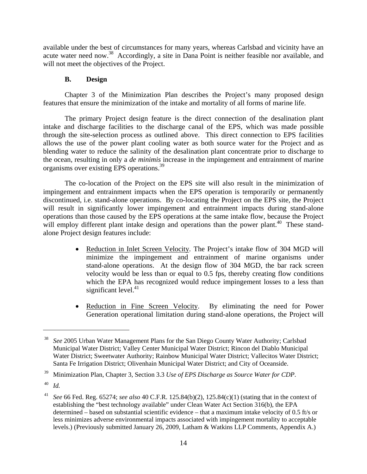available under the best of circumstances for many years, whereas Carlsbad and vicinity have an acute water need now.<sup>38</sup> Accordingly, a site in Dana Point is neither feasible nor available, and will not meet the objectives of the Project.

## **B. Design**

Chapter 3 of the Minimization Plan describes the Project's many proposed design features that ensure the minimization of the intake and mortality of all forms of marine life.

The primary Project design feature is the direct connection of the desalination plant intake and discharge facilities to the discharge canal of the EPS, which was made possible through the site-selection process as outlined above. This direct connection to EPS facilities allows the use of the power plant cooling water as both source water for the Project and as blending water to reduce the salinity of the desalination plant concentrate prior to discharge to the ocean, resulting in only a *de minimis* increase in the impingement and entrainment of marine organisms over existing EPS operations.<sup>39</sup>

The co-location of the Project on the EPS site will also result in the minimization of impingement and entrainment impacts when the EPS operation is temporarily or permanently discontinued, i.e. stand-alone operations. By co-locating the Project on the EPS site, the Project will result in significantly lower impingement and entrainment impacts during stand-alone operations than those caused by the EPS operations at the same intake flow, because the Project will employ different plant intake design and operations than the power plant.<sup>40</sup> These standalone Project design features include:

- Reduction in Inlet Screen Velocity. The Project's intake flow of 304 MGD will minimize the impingement and entrainment of marine organisms under stand-alone operations. At the design flow of 304 MGD, the bar rack screen velocity would be less than or equal to 0.5 fps, thereby creating flow conditions which the EPA has recognized would reduce impingement losses to a less than significant level. $41$
- Reduction in Fine Screen Velocity. By eliminating the need for Power Generation operational limitation during stand-alone operations, the Project will

<sup>38</sup> *See* 2005 Urban Water Management Plans for the San Diego County Water Authority; Carlsbad Municipal Water District; Valley Center Municipal Water District; Rincon del Diablo Municipal Water District; Sweetwater Authority; Rainbow Municipal Water District; Vallecitos Water District; Santa Fe Irrigation District; Olivenhain Municipal Water District; and City of Oceanside.

<sup>39</sup> Minimization Plan, Chapter 3, Section 3.3 *Use of EPS Discharge as Source Water for CDP*.

 $^{40}$  *Id.* 

<sup>41</sup> *See* 66 Fed. Reg. 65274; *see also* 40 C.F.R. 125.84(b)(2), 125.84(c)(1) (stating that in the context of establishing the "best technology available" under Clean Water Act Section 316(b), the EPA determined – based on substantial scientific evidence – that a maximum intake velocity of 0.5 ft/s or less minimizes adverse environmental impacts associated with impingement mortality to acceptable levels.) (Previously submitted January 26, 2009, Latham & Watkins LLP Comments, Appendix A.)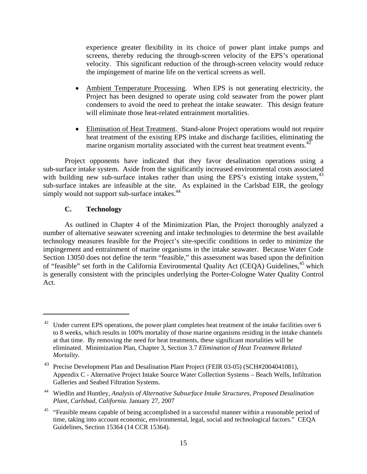experience greater flexibility in its choice of power plant intake pumps and screens, thereby reducing the through-screen velocity of the EPS's operational velocity. This significant reduction of the through-screen velocity would reduce the impingement of marine life on the vertical screens as well.

- Ambient Temperature Processing.When EPS is not generating electricity, the Project has been designed to operate using cold seawater from the power plant condensers to avoid the need to preheat the intake seawater. This design feature will eliminate those heat-related entrainment mortalities.
- Elimination of Heat Treatment. Stand-alone Project operations would not require heat treatment of the existing EPS intake and discharge facilities, eliminating the marine organism mortality associated with the current heat treatment events.<sup>42</sup>

Project opponents have indicated that they favor desalination operations using a sub-surface intake system. Aside from the significantly increased environmental costs associated with building new sub-surface intakes rather than using the EPS's existing intake system,  $43$ sub-surface intakes are infeasible at the site. As explained in the Carlsbad EIR, the geology simply would not support sub-surface intakes.<sup>44</sup>

## **C. Technology**

 $\overline{a}$ 

As outlined in Chapter 4 of the Minimization Plan, the Project thoroughly analyzed a number of alternative seawater screening and intake technologies to determine the best available technology measures feasible for the Project's site-specific conditions in order to minimize the impingement and entrainment of marine organisms in the intake seawater. Because Water Code Section 13050 does not define the term "feasible," this assessment was based upon the definition of "feasible" set forth in the California Environmental Quality Act (CEQA) Guidelines,<sup>45</sup> which is generally consistent with the principles underlying the Porter-Cologne Water Quality Control Act.

 $42$  Under current EPS operations, the power plant completes heat treatment of the intake facilities over 6 to 8 weeks, which results in 100% mortality of those marine organisms residing in the intake channels at that time. By removing the need for heat treatments, these significant mortalities will be eliminated. Minimization Plan, Chapter 3, Section 3.7 *Elimination of Heat Treatment Related Mortality*.

<sup>&</sup>lt;sup>43</sup> Precise Development Plan and Desalination Plant Project (FEIR 03-05) (SCH#2004041081), Appendix C - Alternative Project Intake Source Water Collection Systems – Beach Wells, Infiltration Galleries and Seabed Filtration Systems.

<sup>44</sup> Wiedlin and Huntley, *Analysis of Alternative Subsurface Intake Structures, Proposed Desalination Plant, Carlsbad, California.* January 27, 2007

<sup>&</sup>lt;sup>45</sup> "Feasible means capable of being accomplished in a successful manner within a reasonable period of time, taking into account economic, environmental, legal, social and technological factors." CEQA Guidelines, Section 15364 (14 CCR 15364).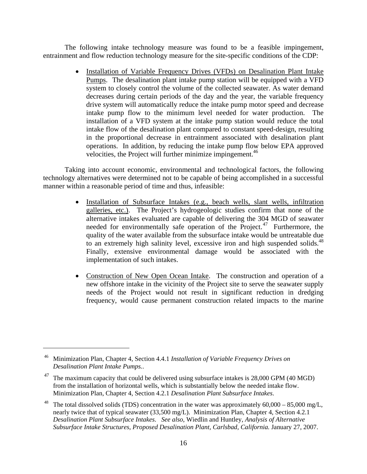The following intake technology measure was found to be a feasible impingement, entrainment and flow reduction technology measure for the site-specific conditions of the CDP:

> • Installation of Variable Frequency Drives (VFDs) on Desalination Plant Intake Pumps.The desalination plant intake pump station will be equipped with a VFD system to closely control the volume of the collected seawater. As water demand decreases during certain periods of the day and the year, the variable frequency drive system will automatically reduce the intake pump motor speed and decrease intake pump flow to the minimum level needed for water production. The installation of a VFD system at the intake pump station would reduce the total intake flow of the desalination plant compared to constant speed-design, resulting in the proportional decrease in entrainment associated with desalination plant operations. In addition, by reducing the intake pump flow below EPA approved velocities, the Project will further minimize impingement.<sup>46</sup>

Taking into account economic, environmental and technological factors, the following technology alternatives were determined not to be capable of being accomplished in a successful manner within a reasonable period of time and thus, infeasible:

- Installation of Subsurface Intakes (e.g., beach wells, slant wells, infiltration galleries, etc.). The Project's hydrogeologic studies confirm that none of the alternative intakes evaluated are capable of delivering the 304 MGD of seawater needed for environmentally safe operation of the Project.<sup>47</sup> Furthermore, the quality of the water available from the subsurface intake would be untreatable due to an extremely high salinity level, excessive iron and high suspended solids.<sup>48</sup> Finally, extensive environmental damage would be associated with the implementation of such intakes.
- Construction of New Open Ocean Intake.The construction and operation of a new offshore intake in the vicinity of the Project site to serve the seawater supply needs of the Project would not result in significant reduction in dredging frequency, would cause permanent construction related impacts to the marine

<sup>46</sup> Minimization Plan, Chapter 4, Section 4.4.1 *Installation of Variable Frequency Drives on Desalination Plant Intake Pumps.*.

 $47$  The maximum capacity that could be delivered using subsurface intakes is 28,000 GPM (40 MGD) from the installation of horizontal wells, which is substantially below the needed intake flow. Minimization Plan, Chapter 4, Section 4.2.1 *Desalination Plant Subsurface Intakes*.

<sup>&</sup>lt;sup>48</sup> The total dissolved solids (TDS) concentration in the water was approximately  $60,000 - 85,000$  mg/L, nearly twice that of typical seawater (33,500 mg/L). Minimization Plan, Chapter 4, Section 4.2.1 *Desalination Plant Subsurface Intakes*. *See also*, Wiedlin and Huntley, *Analysis of Alternative Subsurface Intake Structures, Proposed Desalination Plant, Carlsbad, California.* January 27, 2007.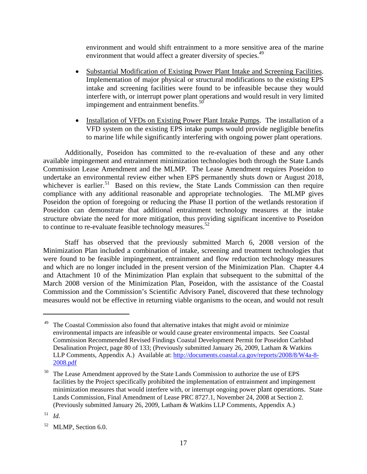environment and would shift entrainment to a more sensitive area of the marine environment that would affect a greater diversity of species.<sup>49</sup>

- Substantial Modification of Existing Power Plant Intake and Screening Facilities. Implementation of major physical or structural modifications to the existing EPS intake and screening facilities were found to be infeasible because they would interfere with, or interrupt power plant operations and would result in very limited impingement and entrainment benefits.<sup>50</sup>
- Installation of VFDs on Existing Power Plant Intake Pumps. The installation of a VFD system on the existing EPS intake pumps would provide negligible benefits to marine life while significantly interfering with ongoing power plant operations.

Additionally, Poseidon has committed to the re-evaluation of these and any other available impingement and entrainment minimization technologies both through the State Lands Commission Lease Amendment and the MLMP. The Lease Amendment requires Poseidon to undertake an environmental review either when EPS permanently shuts down or August 2018, whichever is earlier.<sup>51</sup> Based on this review, the State Lands Commission can then require compliance with any additional reasonable and appropriate technologies. The MLMP gives Poseidon the option of foregoing or reducing the Phase II portion of the wetlands restoration if Poseidon can demonstrate that additional entrainment technology measures at the intake structure obviate the need for more mitigation, thus providing significant incentive to Poseidon to continue to re-evaluate feasible technology measures.<sup>52</sup>

Staff has observed that the previously submitted March 6, 2008 version of the Minimization Plan included a combination of intake, screening and treatment technologies that were found to be feasible impingement, entrainment and flow reduction technology measures and which are no longer included in the present version of the Minimization Plan. Chapter 4.4 and Attachment 10 of the Minimization Plan explain that subsequent to the submittal of the March 2008 version of the Minimization Plan, Poseidon, with the assistance of the Coastal Commission and the Commission's Scientific Advisory Panel, discovered that these technology measures would not be effective in returning viable organisms to the ocean, and would not result

1

The Coastal Commission also found that alternative intakes that might avoid or minimize environmental impacts are infeasible or would cause greater environmental impacts. See Coastal Commission Recommended Revised Findings Coastal Development Permit for Poseidon Carlsbad Desalination Project, page 80 of 133; (Previously submitted January 26, 2009, Latham & Watkins LLP Comments, Appendix A.) Available at: http://documents.coastal.ca.gov/reports/2008/8/W4a-8-2008.pdf

<sup>&</sup>lt;sup>50</sup> The Lease Amendment approved by the State Lands Commission to authorize the use of EPS facilities by the Project specifically prohibited the implementation of entrainment and impingement minimization measures that would interfere with, or interrupt ongoing power plant operations. State Lands Commission, Final Amendment of Lease PRC 8727.1, November 24, 2008 at Section 2. (Previously submitted January 26, 2009, Latham & Watkins LLP Comments, Appendix A.)

 $51$  *Id.* 

<sup>52</sup> MLMP, Section 6.0.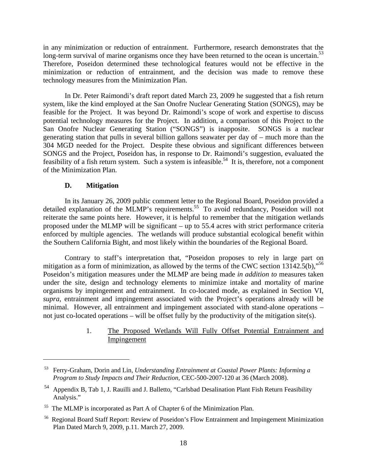in any minimization or reduction of entrainment. Furthermore, research demonstrates that the long-term survival of marine organisms once they have been returned to the ocean is uncertain.<sup>53</sup> Therefore, Poseidon determined these technological features would not be effective in the minimization or reduction of entrainment, and the decision was made to remove these technology measures from the Minimization Plan.

In Dr. Peter Raimondi's draft report dated March 23, 2009 he suggested that a fish return system, like the kind employed at the San Onofre Nuclear Generating Station (SONGS), may be feasible for the Project. It was beyond Dr. Raimondi's scope of work and expertise to discuss potential technology measures for the Project. In addition, a comparison of this Project to the San Onofre Nuclear Generating Station ("SONGS") is inapposite. SONGS is a nuclear generating station that pulls in several billion gallons seawater per day of – much more than the 304 MGD needed for the Project. Despite these obvious and significant differences between SONGS and the Project, Poseidon has, in response to Dr. Raimondi's suggestion, evaluated the feasibility of a fish return system. Such a system is infeasible.<sup>54</sup> It is, therefore, not a component of the Minimization Plan.

#### **D. Mitigation**

 $\overline{a}$ 

In its January 26, 2009 public comment letter to the Regional Board, Poseidon provided a detailed explanation of the MLMP's requirements.<sup>55</sup> To avoid redundancy, Poseidon will not reiterate the same points here. However, it is helpful to remember that the mitigation wetlands proposed under the MLMP will be significant – up to 55.4 acres with strict performance criteria enforced by multiple agencies. The wetlands will produce substantial ecological benefit within the Southern California Bight, and most likely within the boundaries of the Regional Board.

Contrary to staff's interpretation that, "Poseidon proposes to rely in large part on mitigation as a form of minimization, as allowed by the terms of the CWC section  $13142.5(b)$ ,<sup>56</sup> Poseidon's mitigation measures under the MLMP are being made *in addition to* measures taken under the site, design and technology elements to minimize intake and mortality of marine organisms by impingement and entrainment. In co-located mode, as explained in Section VI, *supra*, entrainment and impingement associated with the Project's operations already will be minimal. However, all entrainment and impingement associated with stand-alone operations – not just co-located operations – will be offset fully by the productivity of the mitigation site(s).

#### 1. The Proposed Wetlands Will Fully Offset Potential Entrainment and Impingement

<sup>53</sup> Ferry-Graham, Dorin and Lin, *Understanding Entrainment at Coastal Power Plants: Informing a Program to Study Impacts and Their Reduction*, CEC-500-2007-120 at 36 (March 2008).

<sup>54</sup> Appendix B, Tab 1, J. Rauilli and J. Balletto, "Carlsbad Desalination Plant Fish Return Feasibility Analysis."

<sup>55</sup> The MLMP is incorporated as Part A of Chapter 6 of the Minimization Plan.

<sup>56</sup> Regional Board Staff Report: Review of Poseidon's Flow Entrainment and Impingement Minimization Plan Dated March 9, 2009, p.11. March 27, 2009.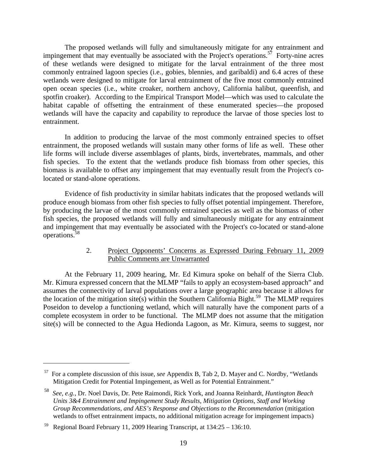The proposed wetlands will fully and simultaneously mitigate for any entrainment and impingement that may eventually be associated with the Project's operations.<sup>57</sup> Forty-nine acres of these wetlands were designed to mitigate for the larval entrainment of the three most commonly entrained lagoon species (i.e., gobies, blennies, and garibaldi) and 6.4 acres of these wetlands were designed to mitigate for larval entrainment of the five most commonly entrained open ocean species (i.e., white croaker, northern anchovy, California halibut, queenfish, and spotfin croaker). According to the Empirical Transport Model—which was used to calculate the habitat capable of offsetting the entrainment of these enumerated species—the proposed wetlands will have the capacity and capability to reproduce the larvae of those species lost to entrainment.

In addition to producing the larvae of the most commonly entrained species to offset entrainment, the proposed wetlands will sustain many other forms of life as well. These other life forms will include diverse assemblages of plants, birds, invertebrates, mammals, and other fish species. To the extent that the wetlands produce fish biomass from other species, this biomass is available to offset any impingement that may eventually result from the Project's colocated or stand-alone operations.

Evidence of fish productivity in similar habitats indicates that the proposed wetlands will produce enough biomass from other fish species to fully offset potential impingement. Therefore, by producing the larvae of the most commonly entrained species as well as the biomass of other fish species, the proposed wetlands will fully and simultaneously mitigate for any entrainment and impingement that may eventually be associated with the Project's co-located or stand-alone operations.58

#### 2. Project Opponents' Concerns as Expressed During February 11, 2009 Public Comments are Unwarranted

At the February 11, 2009 hearing, Mr. Ed Kimura spoke on behalf of the Sierra Club. Mr. Kimura expressed concern that the MLMP "fails to apply an ecosystem-based approach" and assumes the connectivity of larval populations over a large geographic area because it allows for the location of the mitigation site(s) within the Southern California Bight.<sup>59</sup> The MLMP requires Poseidon to develop a functioning wetland, which will naturally have the component parts of a complete ecosystem in order to be functional. The MLMP does not assume that the mitigation site(s) will be connected to the Agua Hedionda Lagoon, as Mr. Kimura, seems to suggest, nor

<sup>57</sup> For a complete discussion of this issue, *see* Appendix B, Tab 2, D. Mayer and C. Nordby, "Wetlands Mitigation Credit for Potential Impingement, as Well as for Potential Entrainment."

<sup>58</sup> *See, e.g.,* Dr. Noel Davis, Dr. Pete Raimondi, Rick York, and Joanna Reinhardt, *Huntington Beach Units 3&4 Entrainment and Impingement Study Results, Mitigation Options, Staff and Working Group Recommendations, and AES's Response and Objections to the Recommendation* (mitigation wetlands to offset entrainment impacts, no additional mitigation acreage for impingement impacts)

<sup>59</sup> Regional Board February 11, 2009 Hearing Transcript, at 134:25 – 136:10.